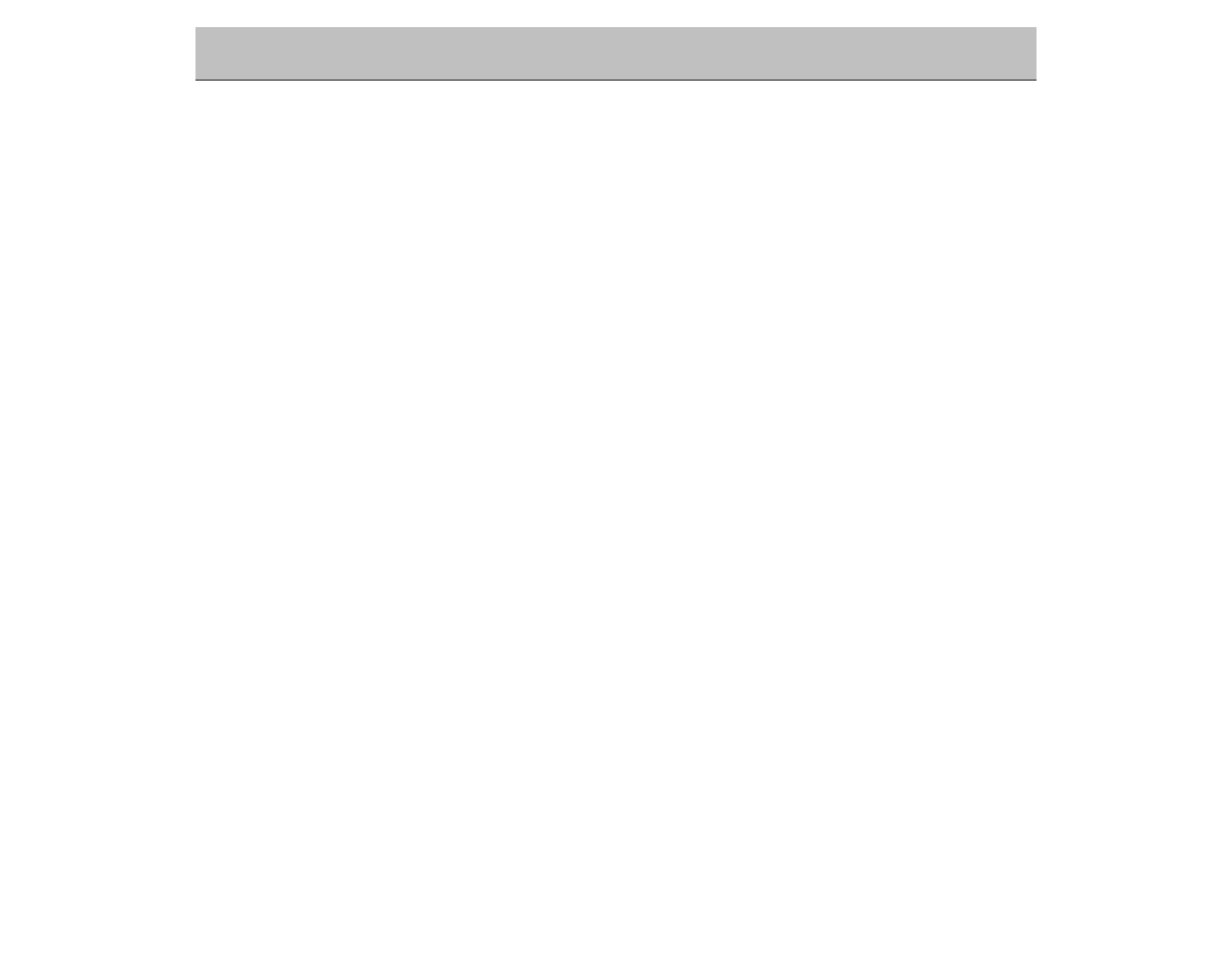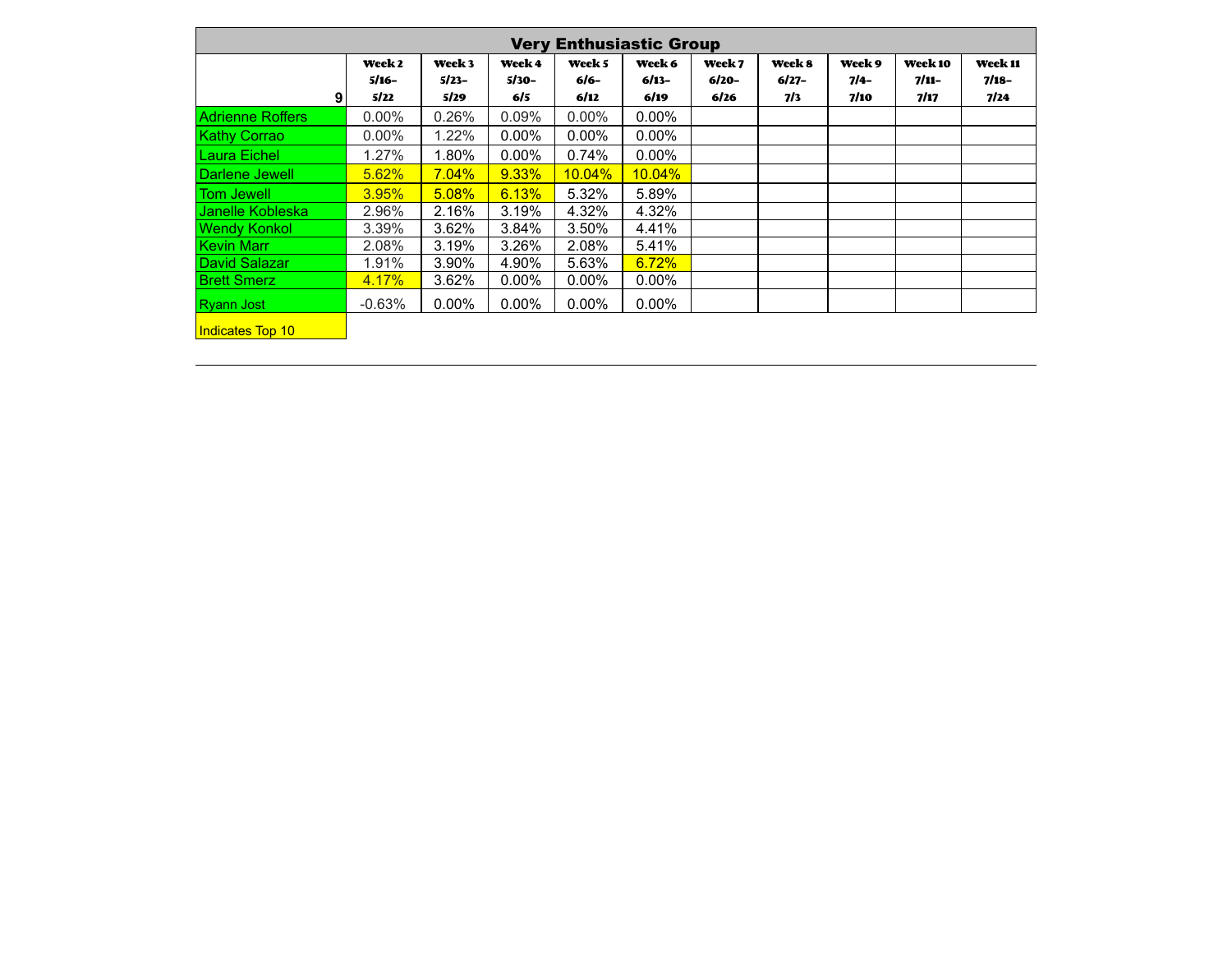|                         |          |          |          |          | <b>Very Enthusiastic Group</b> |          |         |        |                |         |
|-------------------------|----------|----------|----------|----------|--------------------------------|----------|---------|--------|----------------|---------|
|                         | Week 2   | Week 3   | Week 4   | Week 5   | Week 6                         | Week 7   | Week 8  | Week 9 | <b>Week 10</b> | Week 11 |
|                         | 5/16-    | $5/23-$  | 5/30-    | $6/6-$   | $6/13-$                        | $6/20 -$ | $6/27-$ | $7/4-$ | $7/11-$        | $7/18-$ |
| 9                       | 5/22     | 5/29     | 6/5      | 6/12     | 6/19                           | 6/26     | 7/3     | 7/10   | 7/17           | 7/24    |
| <b>Adrienne Roffers</b> | $0.00\%$ | 0.26%    | 0.09%    | $0.00\%$ | $0.00\%$                       |          |         |        |                |         |
| <b>Kathy Corrao</b>     | $0.00\%$ | 1.22%    | $0.00\%$ | $0.00\%$ | $0.00\%$                       |          |         |        |                |         |
| Laura Eichel            | 1.27%    | 1.80%    | $0.00\%$ | 0.74%    | 0.00%                          |          |         |        |                |         |
| Darlene Jewell          | 5.62%    | 7.04%    | 9.33%    | 10.04%   | $10.04\%$                      |          |         |        |                |         |
| <b>Tom Jewell</b>       | 3.95%    | 5.08%    | 6.13%    | 5.32%    | 5.89%                          |          |         |        |                |         |
| Janelle Kobleska        | 2.96%    | 2.16%    | 3.19%    | 4.32%    | 4.32%                          |          |         |        |                |         |
| <b>Wendy Konkol</b>     | 3.39%    | 3.62%    | 3.84%    | 3.50%    | 4.41%                          |          |         |        |                |         |
| <b>Kevin Marr</b>       | 2.08%    | 3.19%    | 3.26%    | 2.08%    | 5.41%                          |          |         |        |                |         |
| David Salazar           | 1.91%    | 3.90%    | 4.90%    | 5.63%    | 6.72%                          |          |         |        |                |         |
| <b>Brett Smerz</b>      | 4.17%    | 3.62%    | $0.00\%$ | $0.00\%$ | $0.00\%$                       |          |         |        |                |         |
| <b>Ryann Jost</b>       | $-0.63%$ | $0.00\%$ | $0.00\%$ | $0.00\%$ | $0.00\%$                       |          |         |        |                |         |
| <b>Indicates Top 10</b> |          |          |          |          |                                |          |         |        |                |         |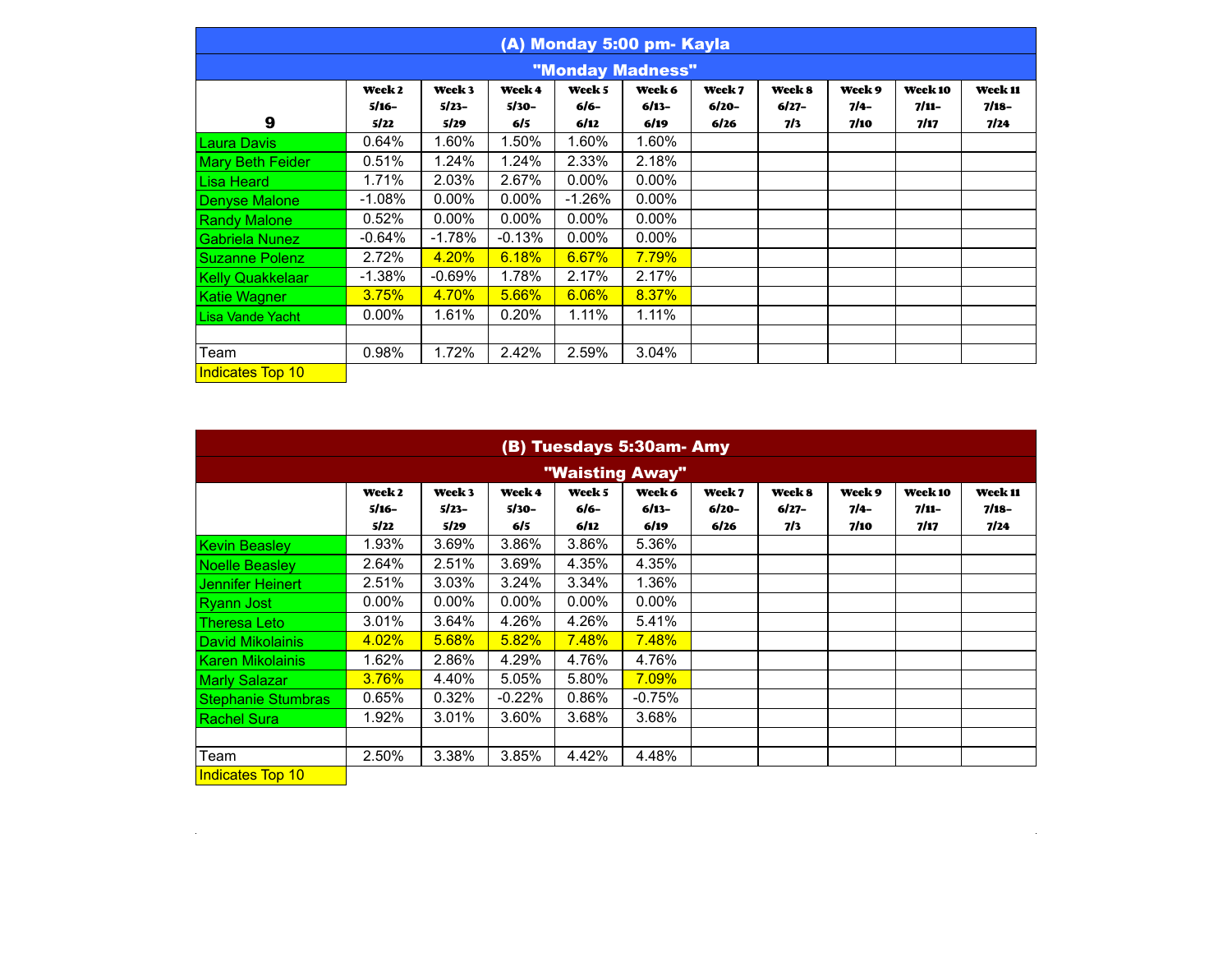|                         |                           |                           |                          |                          | (A) Monday 5:00 pm- Kayla |                            |                          |                          |                                   |                            |
|-------------------------|---------------------------|---------------------------|--------------------------|--------------------------|---------------------------|----------------------------|--------------------------|--------------------------|-----------------------------------|----------------------------|
|                         |                           |                           |                          |                          | "Monday Madness"          |                            |                          |                          |                                   |                            |
| 9                       | Week 2<br>$5/16-$<br>5/22 | Week 3<br>$5/23-$<br>5/29 | Week 4<br>$5/30-$<br>6/5 | Week 5<br>$6/6-$<br>6/12 | Week 6<br>$6/13-$<br>6/19 | Week 7<br>$6/20 -$<br>6/26 | Week 8<br>$6/27-$<br>7/3 | Week 9<br>$7/4-$<br>7/10 | <b>Week 10</b><br>$7/11-$<br>7/17 | Week 11<br>$7/18-$<br>7/24 |
| Laura Davis             | 0.64%                     | 1.60%                     | 1.50%                    | 1.60%                    | 1.60%                     |                            |                          |                          |                                   |                            |
| <b>Mary Beth Feider</b> | 0.51%                     | 1.24%                     | 1.24%                    | 2.33%                    | 2.18%                     |                            |                          |                          |                                   |                            |
| Lisa Heard              | 1.71%                     | 2.03%                     | 2.67%                    | 0.00%                    | $0.00\%$                  |                            |                          |                          |                                   |                            |
| <b>Denyse Malone</b>    | $-1.08%$                  | $0.00\%$                  | $0.00\%$                 | $-1.26%$                 | $0.00\%$                  |                            |                          |                          |                                   |                            |
| <b>Randy Malone</b>     | 0.52%                     | $0.00\%$                  | $0.00\%$                 | 0.00%                    | $0.00\%$                  |                            |                          |                          |                                   |                            |
| Gabriela Nunez          | $-0.64%$                  | $-1.78%$                  | $-0.13%$                 | 0.00%                    | $0.00\%$                  |                            |                          |                          |                                   |                            |
| <b>Suzanne Polenz</b>   | 2.72%                     | 4.20%                     | 6.18%                    | 6.67%                    | 7.79%                     |                            |                          |                          |                                   |                            |
| <b>Kelly Quakkelaar</b> | $-1.38%$                  | $-0.69%$                  | 1.78%                    | 2.17%                    | 2.17%                     |                            |                          |                          |                                   |                            |
| Katie Wagner            | 3.75%                     | 4.70%                     | 5.66%                    | 6.06%                    | 8.37%                     |                            |                          |                          |                                   |                            |
| Lisa Vande Yacht        | $0.00\%$                  | 1.61%                     | 0.20%                    | 1.11%                    | 1.11%                     |                            |                          |                          |                                   |                            |
|                         |                           |                           |                          |                          |                           |                            |                          |                          |                                   |                            |
| Team                    | 0.98%                     | 1.72%                     | 2.42%                    | 2.59%                    | 3.04%                     |                            |                          |                          |                                   |                            |
| <b>Indicates Top 10</b> |                           |                           |                          |                          |                           |                            |                          |                          |                                   |                            |

|                           |                   |                   |                   |                  | (B) Tuesdays 5:30am- Amy |                    |                   |                  |                    |                    |
|---------------------------|-------------------|-------------------|-------------------|------------------|--------------------------|--------------------|-------------------|------------------|--------------------|--------------------|
|                           |                   |                   |                   |                  | "Waisting Away"          |                    |                   |                  |                    |                    |
|                           | Week 2<br>$5/16-$ | Week 3<br>$5/23-$ | Week 4<br>$5/30-$ | Week 5<br>$6/6-$ | Week 6<br>$6/13-$        | Week 7<br>$6/20 -$ | Week 8<br>$6/27-$ | Week 9<br>$7/4-$ | Week 10<br>$7/11-$ | Week 11<br>$7/18-$ |
|                           | 5/22              | 5/29              | 6/5               | 6/12             | 6/19                     | 6/26               | 7/3               | 7/10             | 7/17               | 7/24               |
| <b>Kevin Beasley</b>      | 1.93%             | 3.69%             | 3.86%             | 3.86%            | 5.36%                    |                    |                   |                  |                    |                    |
| Noelle Beasley            | 2.64%             | 2.51%             | 3.69%             | 4.35%            | 4.35%                    |                    |                   |                  |                    |                    |
| Jennifer Heinert          | 2.51%             | 3.03%             | 3.24%             | 3.34%            | 1.36%                    |                    |                   |                  |                    |                    |
| <b>Ryann Jost</b>         | $0.00\%$          | $0.00\%$          | $0.00\%$          | $0.00\%$         | $0.00\%$                 |                    |                   |                  |                    |                    |
| <b>Theresa Leto</b>       | 3.01%             | 3.64%             | 4.26%             | 4.26%            | 5.41%                    |                    |                   |                  |                    |                    |
| David Mikolainis          | 4.02%             | 5.68%             | 5.82%             | 7.48%            | 7.48%                    |                    |                   |                  |                    |                    |
| <b>Karen Mikolainis</b>   | 1.62%             | 2.86%             | 4.29%             | 4.76%            | 4.76%                    |                    |                   |                  |                    |                    |
| <b>Marly Salazar</b>      | 3.76%             | 4.40%             | 5.05%             | 5.80%            | 7.09%                    |                    |                   |                  |                    |                    |
| <b>Stephanie Stumbras</b> | 0.65%             | 0.32%             | $-0.22%$          | 0.86%            | $-0.75%$                 |                    |                   |                  |                    |                    |
| <b>Rachel Sura</b>        | 1.92%             | 3.01%             | 3.60%             | 3.68%            | 3.68%                    |                    |                   |                  |                    |                    |
|                           |                   |                   |                   |                  |                          |                    |                   |                  |                    |                    |
| Team                      | 2.50%             | 3.38%             | 3.85%             | 4.42%            | 4.48%                    |                    |                   |                  |                    |                    |
| <b>Indicates Top 10</b>   |                   |                   |                   |                  |                          |                    |                   |                  |                    |                    |

 $\mathcal{L}(\mathcal{L})$  and  $\mathcal{L}(\mathcal{L})$  and  $\mathcal{L}(\mathcal{L})$  and  $\mathcal{L}(\mathcal{L})$ 

 $\mathcal{L}^{\mathcal{L}}(\mathcal{L}^{\mathcal{L}})$  and  $\mathcal{L}^{\mathcal{L}}(\mathcal{L}^{\mathcal{L}})$  and  $\mathcal{L}^{\mathcal{L}}(\mathcal{L}^{\mathcal{L}})$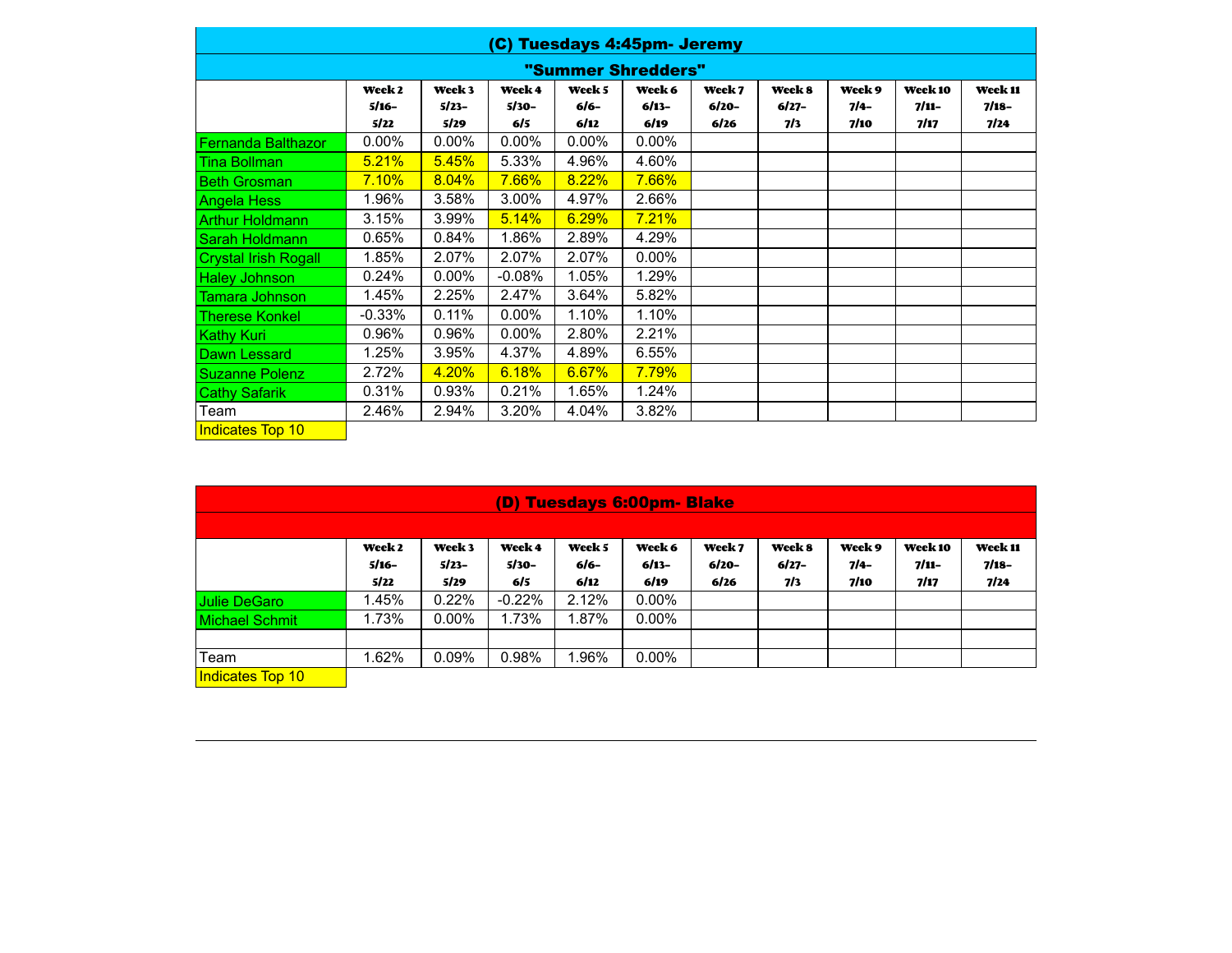|                             |                           |                           |                          |                          | (C) Tuesdays 4:45pm- Jeremy |                            |                          |                          |                                   |                            |
|-----------------------------|---------------------------|---------------------------|--------------------------|--------------------------|-----------------------------|----------------------------|--------------------------|--------------------------|-----------------------------------|----------------------------|
|                             |                           |                           |                          |                          | "Summer Shredders"          |                            |                          |                          |                                   |                            |
|                             | Week 2<br>$5/16-$<br>5/22 | Week 3<br>$5/23-$<br>5/29 | Week 4<br>$5/30-$<br>6/5 | Week 5<br>$6/6-$<br>6/12 | Week 6<br>$6/13-$<br>6/19   | Week 7<br>$6/20 -$<br>6/26 | Week 8<br>$6/27-$<br>7/3 | Week 9<br>$7/4-$<br>7/10 | <b>Week 10</b><br>$7/11-$<br>7/17 | Week 11<br>$7/18-$<br>7/24 |
| Fernanda Balthazor          | 0.00%                     | 0.00%                     | 0.00%                    | 0.00%                    | 0.00%                       |                            |                          |                          |                                   |                            |
| <b>Tina Bollman</b>         | 5.21%                     | 5.45%                     | 5.33%                    | 4.96%                    | 4.60%                       |                            |                          |                          |                                   |                            |
| <b>Beth Grosman</b>         | 7.10%                     | 8.04%                     | 7.66%                    | 8.22%                    | 7.66%                       |                            |                          |                          |                                   |                            |
| <b>Angela Hess</b>          | 1.96%                     | 3.58%                     | 3.00%                    | 4.97%                    | 2.66%                       |                            |                          |                          |                                   |                            |
| <b>Arthur Holdmann</b>      | 3.15%                     | 3.99%                     | 5.14%                    | 6.29%                    | 7.21%                       |                            |                          |                          |                                   |                            |
| Sarah Holdmann              | 0.65%                     | 0.84%                     | 1.86%                    | 2.89%                    | 4.29%                       |                            |                          |                          |                                   |                            |
| <b>Crystal Irish Rogall</b> | 1.85%                     | 2.07%                     | 2.07%                    | 2.07%                    | 0.00%                       |                            |                          |                          |                                   |                            |
| <b>Haley Johnson</b>        | 0.24%                     | 0.00%                     | $-0.08%$                 | 1.05%                    | 1.29%                       |                            |                          |                          |                                   |                            |
| Tamara Johnson              | 1.45%                     | 2.25%                     | 2.47%                    | 3.64%                    | 5.82%                       |                            |                          |                          |                                   |                            |
| <b>Therese Konkel</b>       | $-0.33\%$                 | 0.11%                     | 0.00%                    | 1.10%                    | 1.10%                       |                            |                          |                          |                                   |                            |
| <b>Kathy Kuri</b>           | 0.96%                     | 0.96%                     | $0.00\%$                 | 2.80%                    | 2.21%                       |                            |                          |                          |                                   |                            |
| Dawn Lessard                | 1.25%                     | 3.95%                     | 4.37%                    | 4.89%                    | 6.55%                       |                            |                          |                          |                                   |                            |
| <b>Suzanne Polenz</b>       | 2.72%                     | 4.20%                     | 6.18%                    | 6.67%                    | 7.79%                       |                            |                          |                          |                                   |                            |
| <b>Cathy Safarik</b>        | 0.31%                     | 0.93%                     | 0.21%                    | 1.65%                    | 1.24%                       |                            |                          |                          |                                   |                            |
| Team                        | 2.46%                     | 2.94%                     | 3.20%                    | 4.04%                    | 3.82%                       |                            |                          |                          |                                   |                            |
| <b>Indicates Top 10</b>     |                           |                           |                          |                          |                             |                            |                          |                          |                                   |                            |

|                  | (D) Tuesdays 6:00pm- Blake |                           |                          |                          |                           |                            |                          |                          |                                   |                            |  |  |
|------------------|----------------------------|---------------------------|--------------------------|--------------------------|---------------------------|----------------------------|--------------------------|--------------------------|-----------------------------------|----------------------------|--|--|
|                  |                            |                           |                          |                          |                           |                            |                          |                          |                                   |                            |  |  |
|                  | Week 2<br>$5/16-$<br>5/22  | Week 3<br>$5/23-$<br>5/29 | Week 4<br>$5/30-$<br>6/5 | Week 5<br>$6/6-$<br>6/12 | Week 6<br>$6/13-$<br>6/19 | Week 7<br>$6/20 -$<br>6/26 | Week 8<br>$6/27-$<br>7/3 | Week 9<br>$7/4-$<br>7/10 | <b>Week 10</b><br>$7/11-$<br>7/17 | Week 11<br>$7/18-$<br>7/24 |  |  |
| Julie DeGaro     | 1.45%                      | 0.22%                     | $-0.22%$                 | 2.12%                    | $0.00\%$                  |                            |                          |                          |                                   |                            |  |  |
| Michael Schmit   | 1.73%                      | $0.00\%$                  | 1.73%                    | 1.87%                    | $0.00\%$                  |                            |                          |                          |                                   |                            |  |  |
|                  |                            |                           |                          |                          |                           |                            |                          |                          |                                   |                            |  |  |
| Team             | 1.62%                      | 0.09%                     | 0.98%                    | $.96\%$                  | $0.00\%$                  |                            |                          |                          |                                   |                            |  |  |
| Indicates Top 10 |                            |                           |                          |                          |                           |                            |                          |                          |                                   |                            |  |  |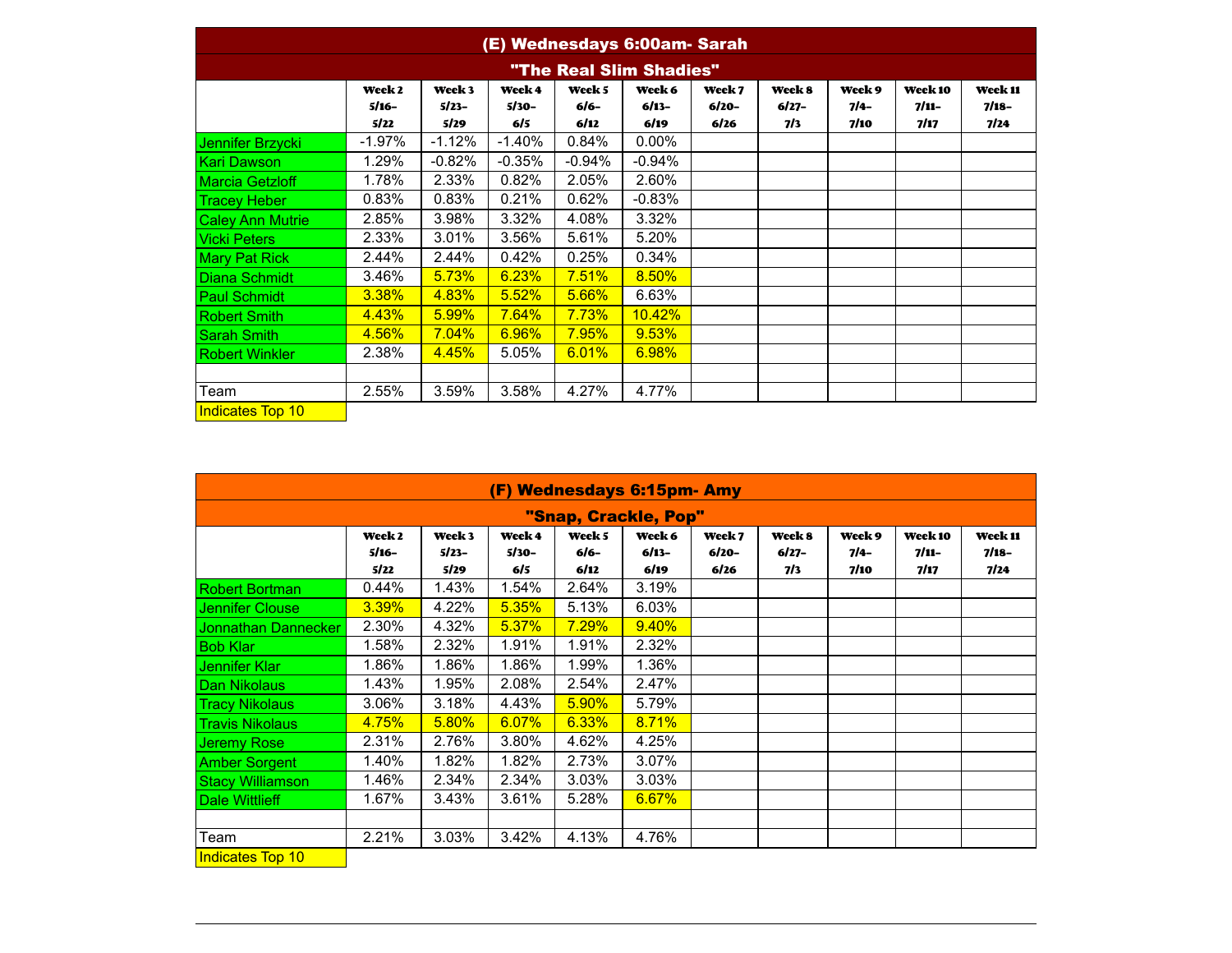|                         |                           |                           |                          |                          | (E) Wednesdays 6:00am- Sarah |                           |                                 |                          |                                   |                                   |
|-------------------------|---------------------------|---------------------------|--------------------------|--------------------------|------------------------------|---------------------------|---------------------------------|--------------------------|-----------------------------------|-----------------------------------|
|                         |                           |                           |                          |                          | "The Real Slim Shadies"      |                           |                                 |                          |                                   |                                   |
|                         | Week 2<br>$5/16-$<br>5/22 | Week 3<br>$5/23-$<br>5/29 | Week 4<br>$5/30-$<br>6/5 | Week 5<br>$6/6-$<br>6/12 | Week 6<br>$6/13-$<br>6/19    | Week 7<br>$6/20-$<br>6/26 | <b>Week 8</b><br>$6/27-$<br>7/3 | Week 9<br>$7/4-$<br>7/10 | <b>Week 10</b><br>$7/11-$<br>7/17 | <b>Week 11</b><br>$7/18-$<br>7/24 |
| Jennifer Brzycki        | $-1.97%$                  | $-1.12%$                  | $-1.40%$                 | 0.84%                    | $0.00\%$                     |                           |                                 |                          |                                   |                                   |
| Kari Dawson             | 1.29%                     | $-0.82%$                  | $-0.35%$                 | $-0.94%$                 | $-0.94%$                     |                           |                                 |                          |                                   |                                   |
| <b>Marcia Getzloff</b>  | 1.78%                     | 2.33%                     | 0.82%                    | 2.05%                    | 2.60%                        |                           |                                 |                          |                                   |                                   |
| <b>Tracey Heber</b>     | 0.83%                     | 0.83%                     | 0.21%                    | 0.62%                    | $-0.83%$                     |                           |                                 |                          |                                   |                                   |
| <b>Caley Ann Mutrie</b> | 2.85%                     | 3.98%                     | 3.32%                    | 4.08%                    | 3.32%                        |                           |                                 |                          |                                   |                                   |
| <b>Vicki Peters</b>     | 2.33%                     | 3.01%                     | 3.56%                    | 5.61%                    | 5.20%                        |                           |                                 |                          |                                   |                                   |
| <b>Mary Pat Rick</b>    | 2.44%                     | 2.44%                     | 0.42%                    | 0.25%                    | 0.34%                        |                           |                                 |                          |                                   |                                   |
| Diana Schmidt           | 3.46%                     | 5.73%                     | 6.23%                    | 7.51%                    | 8.50%                        |                           |                                 |                          |                                   |                                   |
| <b>Paul Schmidt</b>     | 3.38%                     | 4.83%                     | 5.52%                    | 5.66%                    | 6.63%                        |                           |                                 |                          |                                   |                                   |
| <b>Robert Smith</b>     | 4.43%                     | 5.99%                     | 7.64%                    | 7.73%                    | 10.42%                       |                           |                                 |                          |                                   |                                   |
| Sarah Smith             | 4.56%                     | 7.04%                     | 6.96%                    | 7.95%                    | 9.53%                        |                           |                                 |                          |                                   |                                   |
| <b>Robert Winkler</b>   | 2.38%                     | 4.45%                     | 5.05%                    | 6.01%                    | 6.98%                        |                           |                                 |                          |                                   |                                   |
|                         |                           |                           |                          |                          |                              |                           |                                 |                          |                                   |                                   |
| Team                    | 2.55%                     | 3.59%                     | 3.58%                    | 4.27%                    | 4.77%                        |                           |                                 |                          |                                   |                                   |
| Indicates Top 10        |                           |                           |                          |                          |                              |                           |                                 |                          |                                   |                                   |

|                         |                   |                   |                   |                  | (F) Wednesdays 6:15pm- Amy |                    |                          |                  |                           |                    |
|-------------------------|-------------------|-------------------|-------------------|------------------|----------------------------|--------------------|--------------------------|------------------|---------------------------|--------------------|
|                         |                   |                   |                   |                  | "Snap, Crackle, Pop"       |                    |                          |                  |                           |                    |
|                         | Week 2<br>$5/16-$ | Week 3<br>$5/23-$ | Week 4<br>$5/30-$ | Week 5<br>$6/6-$ | Week 6<br>$6/13-$          | Week 7<br>$6/20 -$ | <b>Week 8</b><br>$6/27-$ | Week 9<br>$7/4-$ | <b>Week 10</b><br>$7/11-$ | Week 11<br>$7/18-$ |
|                         | 5/22              | 5/29              | 6/5               | 6/12             | 6/19                       | 6/26               | 7/3                      | 7/10             | 7/17                      | 7/24               |
| <b>Robert Bortman</b>   | 0.44%             | 1.43%             | 1.54%             | 2.64%            | 3.19%                      |                    |                          |                  |                           |                    |
| <b>Jennifer Clouse</b>  | 3.39%             | 4.22%             | 5.35%             | 5.13%            | 6.03%                      |                    |                          |                  |                           |                    |
| Jonnathan Dannecker     | 2.30%             | 4.32%             | 5.37%             | 7.29%            | 9.40%                      |                    |                          |                  |                           |                    |
| <b>Bob Klar</b>         | 1.58%             | 2.32%             | 1.91%             | 1.91%            | 2.32%                      |                    |                          |                  |                           |                    |
| Jennifer Klar           | 1.86%             | 1.86%             | 1.86%             | 1.99%            | 1.36%                      |                    |                          |                  |                           |                    |
| Dan Nikolaus            | 1.43%             | 1.95%             | 2.08%             | 2.54%            | 2.47%                      |                    |                          |                  |                           |                    |
| <b>Tracy Nikolaus</b>   | 3.06%             | 3.18%             | 4.43%             | 5.90%            | 5.79%                      |                    |                          |                  |                           |                    |
| <b>Travis Nikolaus</b>  | 4.75%             | 5.80%             | 6.07%             | 6.33%            | 8.71%                      |                    |                          |                  |                           |                    |
| <b>Jeremy Rose</b>      | 2.31%             | 2.76%             | 3.80%             | 4.62%            | 4.25%                      |                    |                          |                  |                           |                    |
| <b>Amber Sorgent</b>    | 1.40%             | 1.82%             | 1.82%             | 2.73%            | 3.07%                      |                    |                          |                  |                           |                    |
| <b>Stacy Williamson</b> | 1.46%             | 2.34%             | 2.34%             | 3.03%            | 3.03%                      |                    |                          |                  |                           |                    |
| Dale Wittlieff          | 1.67%             | 3.43%             | 3.61%             | 5.28%            | 6.67%                      |                    |                          |                  |                           |                    |
|                         |                   |                   |                   |                  |                            |                    |                          |                  |                           |                    |
| Team                    | 2.21%             | 3.03%             | 3.42%             | 4.13%            | 4.76%                      |                    |                          |                  |                           |                    |
| <b>Indicates Top 10</b> |                   |                   |                   |                  |                            |                    |                          |                  |                           |                    |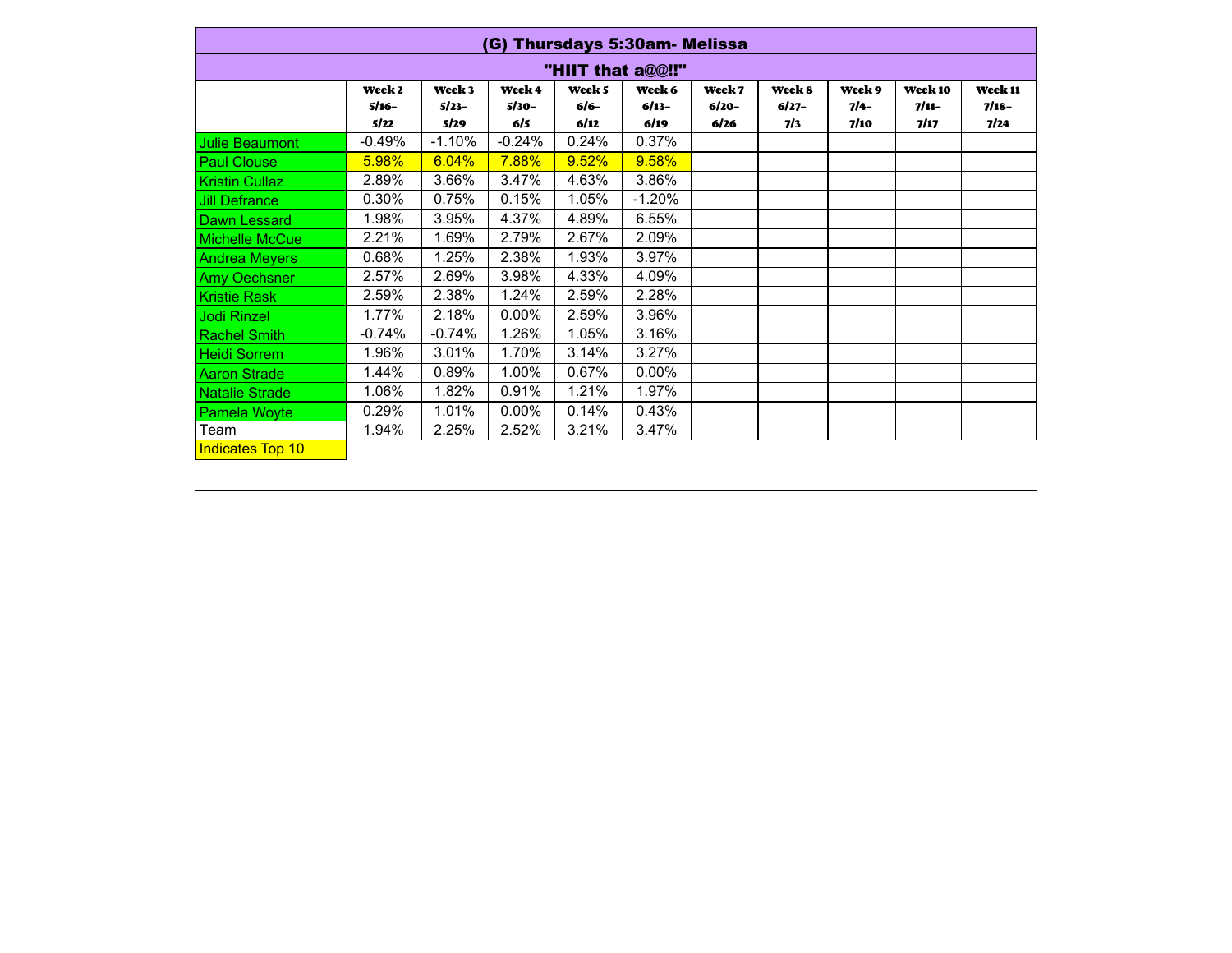|                       | (G) Thursdays 5:30am- Melissa |          |          |                   |          |          |         |        |                |         |  |  |  |
|-----------------------|-------------------------------|----------|----------|-------------------|----------|----------|---------|--------|----------------|---------|--|--|--|
|                       |                               |          |          | "HIIT that a@@!!" |          |          |         |        |                |         |  |  |  |
|                       | Week 2                        | Week 3   | Week 4   | Week 5            | Week 6   | Week 7   | Week 8  | Week 9 | <b>Week 10</b> | Week 11 |  |  |  |
|                       | $5/16-$                       | $5/23-$  | $5/30-$  | $6/6-$            | $6/13-$  | $6/20 -$ | $6/27-$ | $7/4-$ | $7/11-$        | $7/18-$ |  |  |  |
|                       | 5/22                          | 5/29     | 6/5      | 6/12              | 6/19     | 6/26     | 7/3     | 7/10   | 7/17           | 7/24    |  |  |  |
| <b>Julie Beaumont</b> | $-0.49%$                      | $-1.10%$ | $-0.24%$ | 0.24%             | 0.37%    |          |         |        |                |         |  |  |  |
| <b>Paul Clouse</b>    | 5.98%                         | 6.04%    | 7.88%    | 9.52%             | 9.58%    |          |         |        |                |         |  |  |  |
| <b>Kristin Cullaz</b> | 2.89%                         | 3.66%    | 3.47%    | 4.63%             | 3.86%    |          |         |        |                |         |  |  |  |
| <b>Jill Defrance</b>  | 0.30%                         | 0.75%    | 0.15%    | 1.05%             | $-1.20%$ |          |         |        |                |         |  |  |  |
| Dawn Lessard          | 1.98%                         | 3.95%    | 4.37%    | 4.89%             | 6.55%    |          |         |        |                |         |  |  |  |
| Michelle McCue        | 2.21%                         | 1.69%    | 2.79%    | 2.67%             | 2.09%    |          |         |        |                |         |  |  |  |
| <b>Andrea Meyers</b>  | 0.68%                         | 1.25%    | 2.38%    | 1.93%             | 3.97%    |          |         |        |                |         |  |  |  |
| <b>Amy Oechsner</b>   | 2.57%                         | 2.69%    | 3.98%    | 4.33%             | 4.09%    |          |         |        |                |         |  |  |  |
| Kristie Rask          | 2.59%                         | 2.38%    | 1.24%    | 2.59%             | 2.28%    |          |         |        |                |         |  |  |  |
| <b>Jodi Rinzel</b>    | 1.77%                         | 2.18%    | 0.00%    | 2.59%             | 3.96%    |          |         |        |                |         |  |  |  |
| <b>Rachel Smith</b>   | $-0.74%$                      | $-0.74%$ | 1.26%    | 1.05%             | 3.16%    |          |         |        |                |         |  |  |  |
| Heidi Sorrem          | 1.96%                         | 3.01%    | 1.70%    | 3.14%             | 3.27%    |          |         |        |                |         |  |  |  |
| <b>Aaron Strade</b>   | 1.44%                         | 0.89%    | 1.00%    | 0.67%             | 0.00%    |          |         |        |                |         |  |  |  |
| Natalie Strade        | 1.06%                         | 1.82%    | 0.91%    | 1.21%             | 1.97%    |          |         |        |                |         |  |  |  |
| Pamela Woyte          | 0.29%                         | 1.01%    | $0.00\%$ | 0.14%             | 0.43%    |          |         |        |                |         |  |  |  |
| Team                  | 1.94%                         | 2.25%    | 2.52%    | 3.21%             | 3.47%    |          |         |        |                |         |  |  |  |
| Indicates Top 10      |                               |          |          |                   |          |          |         |        |                |         |  |  |  |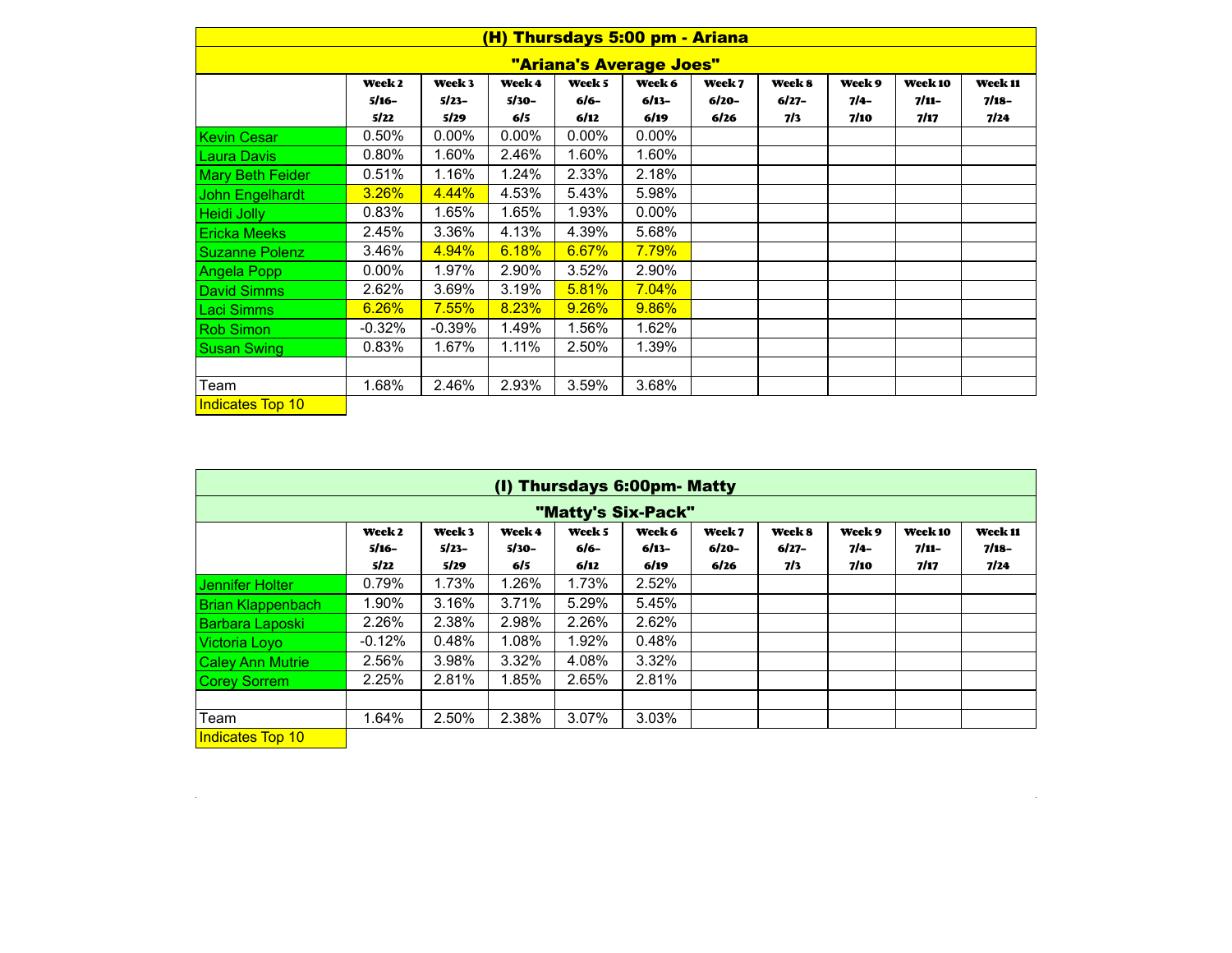|                         |          |          |         |        | (H) Thursdays 5:00 pm - Ariana |          |         |        |                |         |
|-------------------------|----------|----------|---------|--------|--------------------------------|----------|---------|--------|----------------|---------|
|                         |          |          |         |        | "Ariana's Average Joes"        |          |         |        |                |         |
|                         | Week 2   | Week 3   | Week 4  | Week 5 | Week 6                         | Week 7   | Week 8  | Week 9 | <b>Week 10</b> | Week 11 |
|                         | $5/16-$  | $5/23-$  | $5/30-$ | $6/6-$ | $6/13-$                        | $6/20 -$ | $6/27-$ | $7/4-$ | $7/11-$        | $7/18-$ |
|                         | 5/22     | 5/29     | 6/5     | 6/12   | 6/19                           | 6/26     | 7/3     | 7/10   | 7/17           | 7/24    |
| <b>Kevin Cesar</b>      | 0.50%    | $0.00\%$ | 0.00%   | 0.00%  | $0.00\%$                       |          |         |        |                |         |
| Laura Davis             | 0.80%    | 1.60%    | 2.46%   | 1.60%  | 1.60%                          |          |         |        |                |         |
| Mary Beth Feider        | 0.51%    | 1.16%    | 1.24%   | 2.33%  | 2.18%                          |          |         |        |                |         |
| <b>John Engelhardt</b>  | 3.26%    | 4.44%    | 4.53%   | 5.43%  | 5.98%                          |          |         |        |                |         |
| Heidi Jolly             | 0.83%    | 1.65%    | 1.65%   | 1.93%  | $0.00\%$                       |          |         |        |                |         |
| Ericka Meeks            | 2.45%    | 3.36%    | 4.13%   | 4.39%  | 5.68%                          |          |         |        |                |         |
| <b>Suzanne Polenz</b>   | 3.46%    | 4.94%    | 6.18%   | 6.67%  | 7.79%                          |          |         |        |                |         |
| Angela Popp             | $0.00\%$ | 1.97%    | 2.90%   | 3.52%  | 2.90%                          |          |         |        |                |         |
| <b>David Simms</b>      | 2.62%    | 3.69%    | 3.19%   | 5.81%  | 7.04%                          |          |         |        |                |         |
| Laci Simms              | 6.26%    | 7.55%    | 8.23%   | 9.26%  | 9.86%                          |          |         |        |                |         |
| <b>Rob Simon</b>        | $-0.32%$ | $-0.39%$ | 1.49%   | 1.56%  | 1.62%                          |          |         |        |                |         |
| <b>Susan Swing</b>      | 0.83%    | 1.67%    | 1.11%   | 2.50%  | 1.39%                          |          |         |        |                |         |
|                         |          |          |         |        |                                |          |         |        |                |         |
| Team                    | 1.68%    | 2.46%    | 2.93%   | 3.59%  | 3.68%                          |          |         |        |                |         |
| <b>Indicates Top 10</b> |          |          |         |        |                                |          |         |        |                |         |

|                          |                    |                   |                   |                  | (I) Thursdays 6:00pm- Matty |                   |                   |                  |                           |                    |  |  |  |
|--------------------------|--------------------|-------------------|-------------------|------------------|-----------------------------|-------------------|-------------------|------------------|---------------------------|--------------------|--|--|--|
|                          | "Matty's Six-Pack" |                   |                   |                  |                             |                   |                   |                  |                           |                    |  |  |  |
|                          | Week 2<br>$5/16-$  | Week 3<br>$5/23-$ | Week 4<br>$5/30-$ | Week 5<br>$6/6-$ | Week 6<br>$6/13-$           | Week 7<br>$6/20-$ | Week 8<br>$6/27-$ | Week 9<br>$7/4-$ | <b>Week 10</b><br>$7/11-$ | Week 11<br>$7/18-$ |  |  |  |
|                          | 5/22               | 5/29              | 6/5               | 6/12             | 6/19                        | 6/26              | 7/3               | 7/10             | 7/17                      | 7/24               |  |  |  |
| Jennifer Holter          | 0.79%              | 1.73%             | 1.26%             | 1.73%            | 2.52%                       |                   |                   |                  |                           |                    |  |  |  |
| <b>Brian Klappenbach</b> | 1.90%              | 3.16%             | 3.71%             | 5.29%            | 5.45%                       |                   |                   |                  |                           |                    |  |  |  |
| Barbara Laposki          | 2.26%              | 2.38%             | 2.98%             | 2.26%            | 2.62%                       |                   |                   |                  |                           |                    |  |  |  |
| Victoria Lovo            | $-0.12%$           | 0.48%             | 1.08%             | 1.92%            | 0.48%                       |                   |                   |                  |                           |                    |  |  |  |
| <b>Caley Ann Mutrie</b>  | 2.56%              | 3.98%             | 3.32%             | 4.08%            | 3.32%                       |                   |                   |                  |                           |                    |  |  |  |
| <b>Corey Sorrem</b>      | 2.25%              | 2.81%             | 1.85%             | 2.65%            | 2.81%                       |                   |                   |                  |                           |                    |  |  |  |
|                          |                    |                   |                   |                  |                             |                   |                   |                  |                           |                    |  |  |  |
| Team                     | 1.64%              | 2.50%             | 2.38%             | 3.07%            | 3.03%                       |                   |                   |                  |                           |                    |  |  |  |
| <b>Indicates Top 10</b>  |                    |                   |                   |                  |                             |                   |                   |                  |                           |                    |  |  |  |

 $\mathcal{L}(\mathcal{L}^{\mathcal{L}})$  and  $\mathcal{L}^{\mathcal{L}}$  and  $\mathcal{L}^{\mathcal{L}}$  and  $\mathcal{L}^{\mathcal{L}}$ 

 $\sim$ 

 $\mathcal{L}^{\mathcal{L}}(\mathcal{L}^{\mathcal{L}}(\mathcal{L}^{\mathcal{L}}(\mathcal{L}^{\mathcal{L}}(\mathcal{L}^{\mathcal{L}}(\mathcal{L}^{\mathcal{L}}(\mathcal{L}^{\mathcal{L}}(\mathcal{L}^{\mathcal{L}}(\mathcal{L}^{\mathcal{L}}(\mathcal{L}^{\mathcal{L}}(\mathcal{L}^{\mathcal{L}}(\mathcal{L}^{\mathcal{L}}(\mathcal{L}^{\mathcal{L}}(\mathcal{L}^{\mathcal{L}}(\mathcal{L}^{\mathcal{L}}(\mathcal{L}^{\mathcal{L}}(\mathcal{L}^{\mathcal{L$